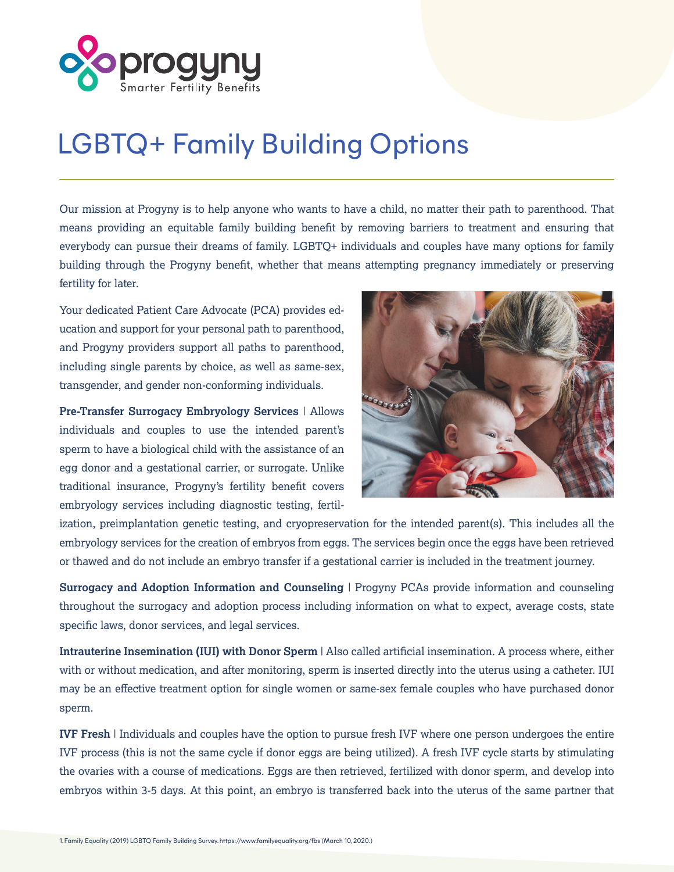

## LGBTQ+ Family Building Options

Our mission at Progyny is to help anyone who wants to have a child, no matter their path to parenthood. That means providing an equitable family building benefit by removing barriers to treatment and ensuring that everybody can pursue their dreams of family. LGBTQ+ individuals and couples have many options for family building through the Progyny benefit, whether that means attempting pregnancy immediately or preserving fertility for later.

Your dedicated Patient Care Advocate (PCA) provides education and support for your personal path to parenthood, and Progyny providers support all paths to parenthood, including single parents by choice, as well as same-sex, transgender, and gender non-conforming individuals.

**Pre-Transfer Surrogacy Embryology Services** | Allows individuals and couples to use the intended parent's sperm to have a biological child with the assistance of an egg donor and a gestational carrier, or surrogate. Unlike traditional insurance, Progyny's fertility benefit covers embryology services including diagnostic testing, fertil-



ization, preimplantation genetic testing, and cryopreservation for the intended parent(s). This includes all the embryology services for the creation of embryos from eggs. The services begin once the eggs have been retrieved or thawed and do not include an embryo transfer if a gestational carrier is included in the treatment journey.

**Surrogacy and Adoption Information and Counseling** | Progyny PCAs provide information and counseling throughout the surrogacy and adoption process including information on what to expect, average costs, state specific laws, donor services, and legal services.

**Intrauterine Insemination (IUI) with Donor Sperm** | Also called artificial insemination. A process where, either with or without medication, and after monitoring, sperm is inserted directly into the uterus using a catheter. IUI may be an effective treatment option for single women or same-sex female couples who have purchased donor sperm.

**IVF Fresh** | Individuals and couples have the option to pursue fresh IVF where one person undergoes the entire IVF process (this is not the same cycle if donor eggs are being utilized). A fresh IVF cycle starts by stimulating the ovaries with a course of medications. Eggs are then retrieved, fertilized with donor sperm, and develop into embryos within 3-5 days. At this point, an embryo is transferred back into the uterus of the same partner that